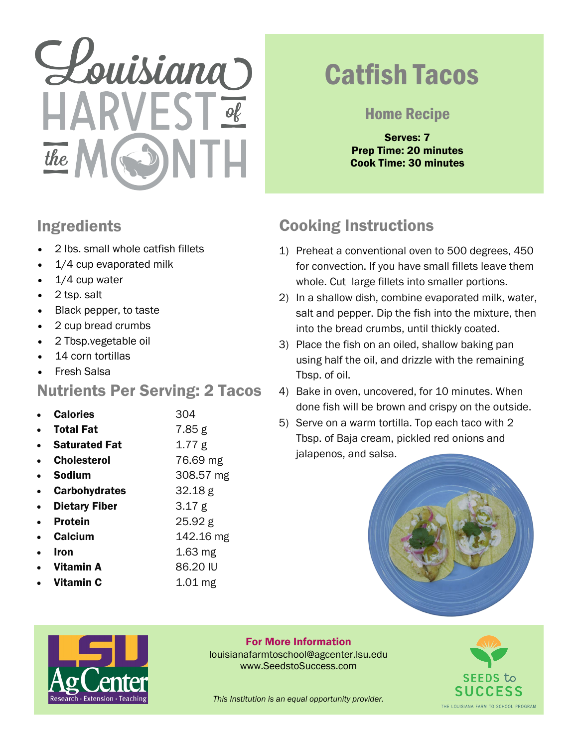# Louisiana  $the$

#### Ingredients

- 2 lbs. small whole catfish fillets
- 1/4 cup evaporated milk
- 1/4 cup water
- 2 tsp. salt
- Black pepper, to taste
- 2 cup bread crumbs
- 2 Tbsp.vegetable oil
- 14 corn tortillas
- Fresh Salsa

#### Nutrients Per Serving: 2 Tacos

- **Calories** 304
	- **Total Fat** 7.85 g
- **Saturated Fat** 1.77 g
- **Cholesterol** 76.69 mg
- **Sodium** 308.57 mg
- **Carbohydrates** 32.18 g
- **Dietary Fiber** 3.17 g
- Protein 25.92 g
- **Calcium** 142.16 mg
- **1.63 mg Vitamin A** 86.20 IU
- 
- Vitamin C 1.01 mg

## Catfish Tacos

#### Home Recipe

Serves: 7 Prep Time: 20 minutes Cook Time: 30 minutes

### Cooking Instructions

- 1) Preheat a conventional oven to 500 degrees, 450 for convection. If you have small fillets leave them whole. Cut large fillets into smaller portions.
- 2) In a shallow dish, combine evaporated milk, water, salt and pepper. Dip the fish into the mixture, then into the bread crumbs, until thickly coated.
- 3) Place the fish on an oiled, shallow baking pan using half the oil, and drizzle with the remaining Tbsp. of oil.
- 4) Bake in oven, uncovered, for 10 minutes. When done fish will be brown and crispy on the outside.
- 5) Serve on a warm tortilla. Top each taco with 2 Tbsp. of Baja cream, pickled red onions and jalapenos, and salsa.





For More Information louisianafarmtoschool@agcenter.lsu.edu www.SeedstoSuccess.com



*This Institution is an equal opportunity provider.*